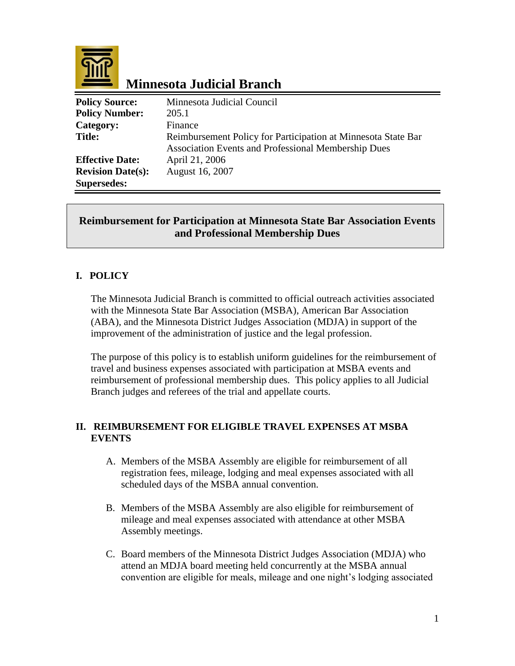

# **Minnesota Judicial Branch**

| <b>Policy Source:</b>    | Minnesota Judicial Council                                    |
|--------------------------|---------------------------------------------------------------|
| <b>Policy Number:</b>    | 205.1                                                         |
| Category:                | Finance                                                       |
| <b>Title:</b>            | Reimbursement Policy for Participation at Minnesota State Bar |
|                          | Association Events and Professional Membership Dues           |
| <b>Effective Date:</b>   | April 21, 2006                                                |
| <b>Revision Date(s):</b> | August 16, 2007                                               |
| <b>Supersedes:</b>       |                                                               |

### **Reimbursement for Participation at Minnesota State Bar Association Events and Professional Membership Dues**

## **I. POLICY**

The Minnesota Judicial Branch is committed to official outreach activities associated with the Minnesota State Bar Association (MSBA), American Bar Association (ABA), and the Minnesota District Judges Association (MDJA) in support of the improvement of the administration of justice and the legal profession.

The purpose of this policy is to establish uniform guidelines for the reimbursement of travel and business expenses associated with participation at MSBA events and reimbursement of professional membership dues. This policy applies to all Judicial Branch judges and referees of the trial and appellate courts.

#### **II. REIMBURSEMENT FOR ELIGIBLE TRAVEL EXPENSES AT MSBA EVENTS**

- A. Members of the MSBA Assembly are eligible for reimbursement of all registration fees, mileage, lodging and meal expenses associated with all scheduled days of the MSBA annual convention.
- B. Members of the MSBA Assembly are also eligible for reimbursement of mileage and meal expenses associated with attendance at other MSBA Assembly meetings.
- C. Board members of the Minnesota District Judges Association (MDJA) who attend an MDJA board meeting held concurrently at the MSBA annual convention are eligible for meals, mileage and one night's lodging associated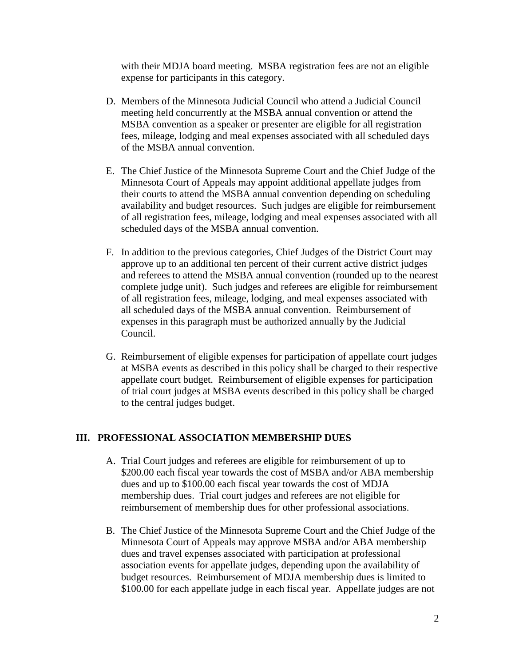with their MDJA board meeting. MSBA registration fees are not an eligible expense for participants in this category.

- D. Members of the Minnesota Judicial Council who attend a Judicial Council meeting held concurrently at the MSBA annual convention or attend the MSBA convention as a speaker or presenter are eligible for all registration fees, mileage, lodging and meal expenses associated with all scheduled days of the MSBA annual convention.
- E. The Chief Justice of the Minnesota Supreme Court and the Chief Judge of the Minnesota Court of Appeals may appoint additional appellate judges from their courts to attend the MSBA annual convention depending on scheduling availability and budget resources. Such judges are eligible for reimbursement of all registration fees, mileage, lodging and meal expenses associated with all scheduled days of the MSBA annual convention.
- F. In addition to the previous categories, Chief Judges of the District Court may approve up to an additional ten percent of their current active district judges and referees to attend the MSBA annual convention (rounded up to the nearest complete judge unit). Such judges and referees are eligible for reimbursement of all registration fees, mileage, lodging, and meal expenses associated with all scheduled days of the MSBA annual convention. Reimbursement of expenses in this paragraph must be authorized annually by the Judicial Council.
- G. Reimbursement of eligible expenses for participation of appellate court judges at MSBA events as described in this policy shall be charged to their respective appellate court budget. Reimbursement of eligible expenses for participation of trial court judges at MSBA events described in this policy shall be charged to the central judges budget.

#### **III. PROFESSIONAL ASSOCIATION MEMBERSHIP DUES**

- A. Trial Court judges and referees are eligible for reimbursement of up to \$200.00 each fiscal year towards the cost of MSBA and/or ABA membership dues and up to \$100.00 each fiscal year towards the cost of MDJA membership dues. Trial court judges and referees are not eligible for reimbursement of membership dues for other professional associations.
- B. The Chief Justice of the Minnesota Supreme Court and the Chief Judge of the Minnesota Court of Appeals may approve MSBA and/or ABA membership dues and travel expenses associated with participation at professional association events for appellate judges, depending upon the availability of budget resources. Reimbursement of MDJA membership dues is limited to \$100.00 for each appellate judge in each fiscal year. Appellate judges are not